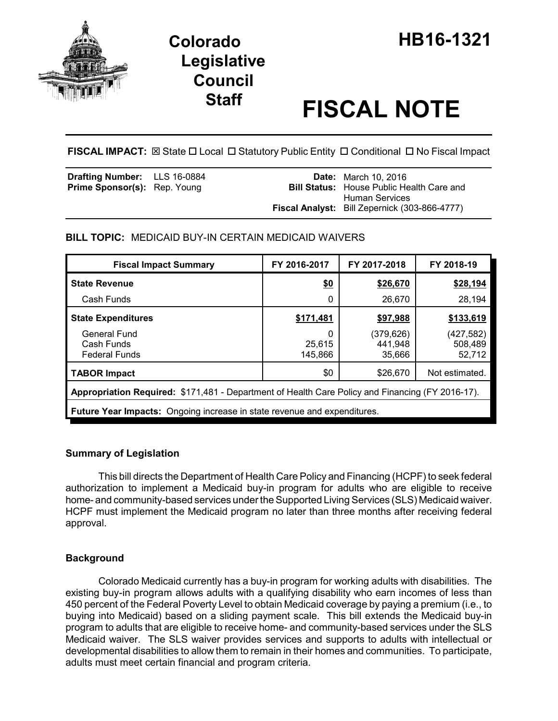

# **Staff FISCAL NOTE**

**FISCAL IMPACT:** ⊠ State □ Local □ Statutory Public Entity □ Conditional □ No Fiscal Impact

| <b>Drafting Number:</b> LLS 16-0884 |  | <b>Date:</b> March 10, 2016<br><b>Bill Status:</b> House Public Health Care and |
|-------------------------------------|--|---------------------------------------------------------------------------------|
| Prime Sponsor(s): Rep. Young        |  | Human Services                                                                  |
|                                     |  | <b>Fiscal Analyst:</b> Bill Zepernick (303-866-4777)                            |

# **BILL TOPIC:** MEDICAID BUY-IN CERTAIN MEDICAID WAIVERS

| <b>Fiscal Impact Summary</b>                                                                     | FY 2016-2017           | FY 2017-2018                   | FY 2018-19                      |  |  |  |
|--------------------------------------------------------------------------------------------------|------------------------|--------------------------------|---------------------------------|--|--|--|
| <b>State Revenue</b>                                                                             | \$0                    | \$26,670                       | \$28,194                        |  |  |  |
| Cash Funds                                                                                       | 0                      | 26,670                         | 28,194                          |  |  |  |
| <b>State Expenditures</b>                                                                        | \$171,481              | \$97,988                       | \$133,619                       |  |  |  |
| General Fund<br>Cash Funds<br><b>Federal Funds</b>                                               | 0<br>25,615<br>145,866 | (379,626)<br>441,948<br>35,666 | (427, 582)<br>508,489<br>52,712 |  |  |  |
| <b>TABOR Impact</b>                                                                              | \$0                    | \$26,670                       | Not estimated.                  |  |  |  |
| Appropriation Required: \$171,481 - Department of Health Care Policy and Financing (FY 2016-17). |                        |                                |                                 |  |  |  |
| <b>Future Year Impacts:</b> Ongoing increase in state revenue and expenditures.                  |                        |                                |                                 |  |  |  |

## **Summary of Legislation**

This bill directs the Department of Health Care Policy and Financing (HCPF) to seek federal authorization to implement a Medicaid buy-in program for adults who are eligible to receive home- and community-based services under the Supported Living Services (SLS) Medicaid waiver. HCPF must implement the Medicaid program no later than three months after receiving federal approval.

## **Background**

Colorado Medicaid currently has a buy-in program for working adults with disabilities. The existing buy-in program allows adults with a qualifying disability who earn incomes of less than 450 percent of the Federal Poverty Level to obtain Medicaid coverage by paying a premium (i.e., to buying into Medicaid) based on a sliding payment scale. This bill extends the Medicaid buy-in program to adults that are eligible to receive home- and community-based services under the SLS Medicaid waiver. The SLS waiver provides services and supports to adults with intellectual or developmental disabilities to allow them to remain in their homes and communities. To participate, adults must meet certain financial and program criteria.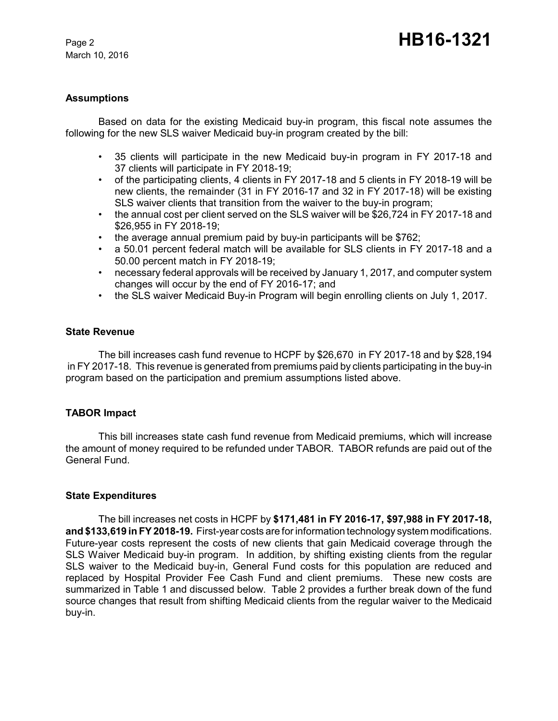March 10, 2016

## **Assumptions**

Based on data for the existing Medicaid buy-in program, this fiscal note assumes the following for the new SLS waiver Medicaid buy-in program created by the bill:

- 35 clients will participate in the new Medicaid buy-in program in FY 2017-18 and 37 clients will participate in FY 2018-19;
- of the participating clients, 4 clients in FY 2017-18 and 5 clients in FY 2018-19 will be new clients, the remainder (31 in FY 2016-17 and 32 in FY 2017-18) will be existing SLS waiver clients that transition from the waiver to the buy-in program;
- the annual cost per client served on the SLS waiver will be \$26,724 in FY 2017-18 and \$26,955 in FY 2018-19;
- the average annual premium paid by buy-in participants will be \$762;
- a 50.01 percent federal match will be available for SLS clients in FY 2017-18 and a 50.00 percent match in FY 2018-19;
- necessary federal approvals will be received by January 1, 2017, and computer system changes will occur by the end of FY 2016-17; and
- the SLS waiver Medicaid Buy-in Program will begin enrolling clients on July 1, 2017.

#### **State Revenue**

The bill increases cash fund revenue to HCPF by \$26,670 in FY 2017-18 and by \$28,194 in FY 2017-18. This revenue is generated from premiums paid by clients participating in the buy-in program based on the participation and premium assumptions listed above.

#### **TABOR Impact**

This bill increases state cash fund revenue from Medicaid premiums, which will increase the amount of money required to be refunded under TABOR. TABOR refunds are paid out of the General Fund.

#### **State Expenditures**

The bill increases net costs in HCPF by **\$171,481 in FY 2016-17, \$97,988 in FY 2017-18, and \$133,619 in FY 2018-19.** First-year costs are for information technology system modifications. Future-year costs represent the costs of new clients that gain Medicaid coverage through the SLS Waiver Medicaid buy-in program. In addition, by shifting existing clients from the regular SLS waiver to the Medicaid buy-in, General Fund costs for this population are reduced and replaced by Hospital Provider Fee Cash Fund and client premiums. These new costs are summarized in Table 1 and discussed below. Table 2 provides a further break down of the fund source changes that result from shifting Medicaid clients from the regular waiver to the Medicaid buy-in.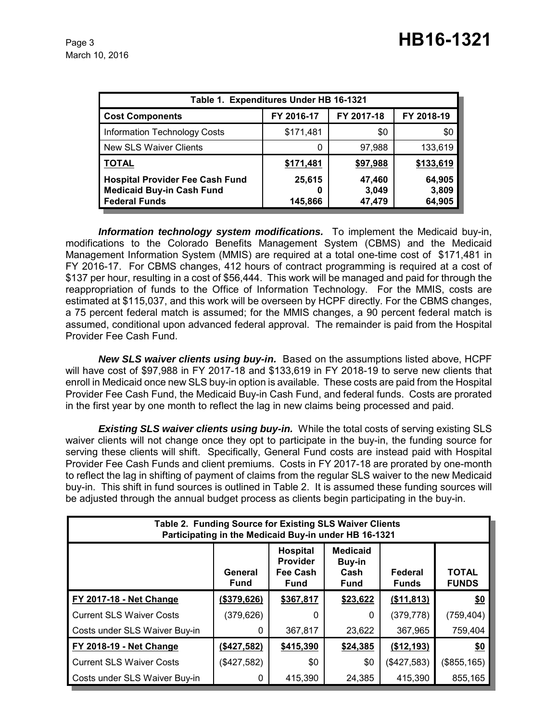| Table 1. Expenditures Under HB 16-1321                                                             |                   |                           |                           |  |  |  |  |  |
|----------------------------------------------------------------------------------------------------|-------------------|---------------------------|---------------------------|--|--|--|--|--|
| <b>Cost Components</b>                                                                             | FY 2016-17        | FY 2017-18                | FY 2018-19                |  |  |  |  |  |
| <b>Information Technology Costs</b>                                                                | \$171,481         | \$0                       | \$0                       |  |  |  |  |  |
| <b>New SLS Waiver Clients</b>                                                                      |                   | 97,988                    | 133,619                   |  |  |  |  |  |
| <b>TOTAL</b>                                                                                       | \$171,481         | \$97,988                  | \$133,619                 |  |  |  |  |  |
| <b>Hospital Provider Fee Cash Fund</b><br><b>Medicaid Buy-in Cash Fund</b><br><b>Federal Funds</b> | 25,615<br>145,866 | 47,460<br>3,049<br>47,479 | 64,905<br>3,809<br>64,905 |  |  |  |  |  |

*Information technology system modifications.* To implement the Medicaid buy-in, modifications to the Colorado Benefits Management System (CBMS) and the Medicaid Management Information System (MMIS) are required at a total one-time cost of \$171,481 in FY 2016-17. For CBMS changes, 412 hours of contract programming is required at a cost of \$137 per hour, resulting in a cost of \$56,444. This work will be managed and paid for through the reappropriation of funds to the Office of Information Technology. For the MMIS, costs are estimated at \$115,037, and this work will be overseen by HCPF directly. For the CBMS changes, a 75 percent federal match is assumed; for the MMIS changes, a 90 percent federal match is assumed, conditional upon advanced federal approval. The remainder is paid from the Hospital Provider Fee Cash Fund.

*New SLS waiver clients using buy-in.* Based on the assumptions listed above, HCPF will have cost of \$97,988 in FY 2017-18 and \$133,619 in FY 2018-19 to serve new clients that enroll in Medicaid once new SLS buy-in option is available. These costs are paid from the Hospital Provider Fee Cash Fund, the Medicaid Buy-in Cash Fund, and federal funds. Costs are prorated in the first year by one month to reflect the lag in new claims being processed and paid.

**Existing SLS waiver clients using buy-in.** While the total costs of serving existing SLS waiver clients will not change once they opt to participate in the buy-in, the funding source for serving these clients will shift. Specifically, General Fund costs are instead paid with Hospital Provider Fee Cash Funds and client premiums. Costs in FY 2017-18 are prorated by one-month to reflect the lag in shifting of payment of claims from the regular SLS waiver to the new Medicaid buy-in. This shift in fund sources is outlined in Table 2. It is assumed these funding sources will be adjusted through the annual budget process as clients begin participating in the buy-in.

| Table 2. Funding Source for Existing SLS Waiver Clients<br>Participating in the Medicaid Buy-in under HB 16-1321 |                        |                                                        |                                                  |                         |                              |  |  |
|------------------------------------------------------------------------------------------------------------------|------------------------|--------------------------------------------------------|--------------------------------------------------|-------------------------|------------------------------|--|--|
|                                                                                                                  | General<br><b>Fund</b> | Hospital<br><b>Provider</b><br>Fee Cash<br><b>Fund</b> | <b>Medicaid</b><br>Buy-in<br>Cash<br><b>Fund</b> | Federal<br><b>Funds</b> | <b>TOTAL</b><br><b>FUNDS</b> |  |  |
| <b>FY 2017-18 - Net Change</b>                                                                                   | (\$379,626)            | \$367,817                                              | \$23,622                                         | (\$11,813)              | \$0                          |  |  |
| <b>Current SLS Waiver Costs</b>                                                                                  | (379, 626)             | 0                                                      | 0                                                | (379, 778)              | (759, 404)                   |  |  |
| Costs under SLS Waiver Buy-in                                                                                    | 0                      | 367,817                                                | 23,622                                           | 367,965                 | 759,404                      |  |  |
| FY 2018-19 - Net Change                                                                                          | (\$427,582)            | \$415,390                                              | \$24,385                                         | (\$12,193)              | \$0                          |  |  |
| <b>Current SLS Waiver Costs</b>                                                                                  | (\$427,582)            | \$0                                                    | \$0                                              | (\$427,583)             | (\$855,165)                  |  |  |
| Costs under SLS Waiver Buy-in                                                                                    | 0                      | 415,390                                                | 24,385                                           | 415,390                 | 855,165                      |  |  |